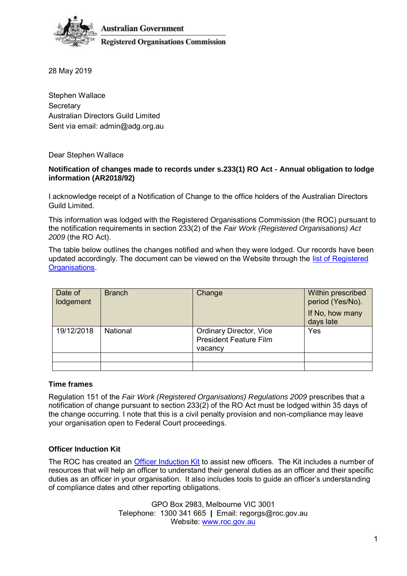

**Australian Government Registered Organisations Commission** 

28 May 2019

Stephen Wallace **Secretary** Australian Directors Guild Limited Sent via email: admin@adg.org.au

Dear Stephen Wallace

### **Notification of changes made to records under s.233(1) RO Act - Annual obligation to lodge information (AR2018/92)**

I acknowledge receipt of a Notification of Change to the office holders of the Australian Directors Guild Limited.

This information was lodged with the Registered Organisations Commission (the ROC) pursuant to the notification requirements in section 233(2) of the *Fair Work (Registered Organisations) Act 2009* (the RO Act).

The table below outlines the changes notified and when they were lodged. Our records have been updated accordingly. The document can be viewed on the Website through the [list of Registered](https://www.roc.gov.au/find-a-registered-organisation)  [Organisations.](https://www.roc.gov.au/find-a-registered-organisation)

| Date of<br>lodgement | <b>Branch</b> | Change                                                                     | Within prescribed<br>period (Yes/No).<br>If No, how many<br>days late |
|----------------------|---------------|----------------------------------------------------------------------------|-----------------------------------------------------------------------|
| 19/12/2018           | National      | <b>Ordinary Director, Vice</b><br><b>President Feature Film</b><br>vacancy | Yes                                                                   |
|                      |               |                                                                            |                                                                       |
|                      |               |                                                                            |                                                                       |

### **Time frames**

Regulation 151 of the *Fair Work (Registered Organisations) Regulations 2009* prescribes that a notification of change pursuant to section 233(2) of the RO Act must be lodged within 35 days of the change occurring. I note that this is a civil penalty provision and non-compliance may leave your organisation open to Federal Court proceedings.

## **Officer Induction Kit**

The ROC has created an [Officer Induction Kit](https://www.roc.gov.au/ArticleDocuments/429/gn006_officer_induction_kit.docx.aspx) to assist new officers. The Kit includes a number of resources that will help an officer to understand their general duties as an officer and their specific duties as an officer in your organisation. It also includes tools to guide an officer's understanding of compliance dates and other reporting obligations.

> GPO Box 2983, Melbourne VIC 3001 Telephone: 1300 341 665 **|** Email: regorgs@roc.gov.au Website: [www.roc.gov.au](https://www.roc.gov.au/)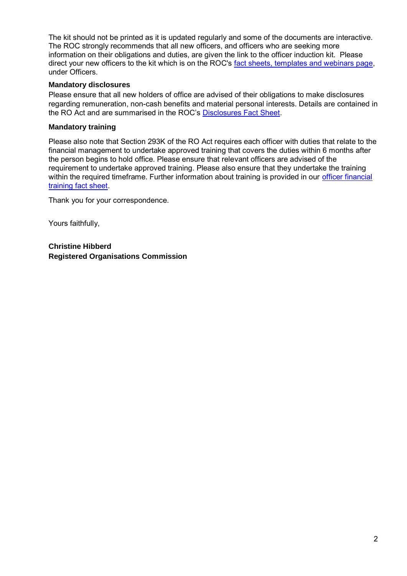The kit should not be printed as it is updated regularly and some of the documents are interactive. The ROC strongly recommends that all new officers, and officers who are seeking more information on their obligations and duties, are given the link to the officer induction kit. Please direct your new officers to the kit which is on the ROC's [fact sheets, templates and webinars page,](https://www.roc.gov.au/resources-and-decisions/fact-sheets-templates-and-webinars) under Officers.

### **Mandatory disclosures**

Please ensure that all new holders of office are advised of their obligations to make disclosures regarding remuneration, non-cash benefits and material personal interests. Details are contained in the RO Act and are summarised in the ROC's [Disclosures Fact Sheet.](https://www.roc.gov.au/resources-and-decisions/fact-sheets-templates-and-webinars)

### **Mandatory training**

Please also note that Section 293K of the RO Act requires each officer with duties that relate to the financial management to undertake approved training that covers the duties within 6 months after the person begins to hold office. Please ensure that relevant officers are advised of the requirement to undertake approved training. Please also ensure that they undertake the training within the required timeframe. Further information about training is provided in our [officer financial](https://www.roc.gov.au/ArticleDocuments/429/fs025-officer-financial-training.pdf.aspx)  [training fact sheet.](https://www.roc.gov.au/ArticleDocuments/429/fs025-officer-financial-training.pdf.aspx)

Thank you for your correspondence.

Yours faithfully,

**Christine Hibberd Registered Organisations Commission**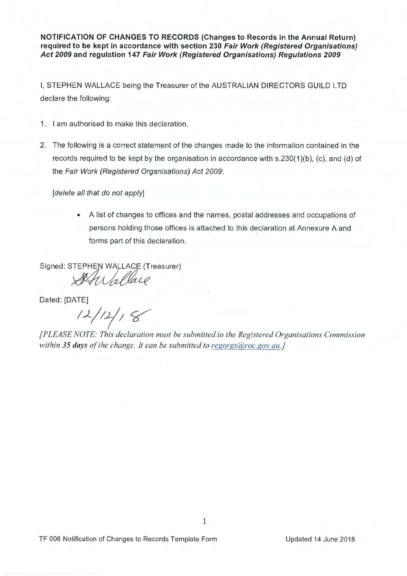**NOTIFICATION OF CHANGES TO RECORDS (Changes to Records in the Annual Return) required to be kept in accordance with section 230 Fair Work (Registered Organisations) Act 2009 and regulation 147 Fair Work (Registered Organisations) Regulations 2009** 

I, STEPHEN WALLACE being the Treasurer of the AUSTRALIAN DIRECTORS GUILD LTD declare the following:

- 1. I am authorised to make this declaration.
- 2. The following is a correct statement of the changes made to the information contained in the records required to be kept by the organisation in accordance with s.230(1)(b), (c), and (d) of the Fair Work (Registered Organisations) Act 2009:

[delete all that do not apply]

• A list of changes to offices and the names, postal addresses and occupations of persons holding those offices is attached to this declaration at Annexure A and forms part of this declaration.

Signed: STEPHEN WALLACE (Treasurer)

Wallace

Dated: [DATE]

<sup>(TE]</sup><br>12/12/18

*[PLEASE NOTE: This declaration must be submitted to the Registered Organisations Commission within 35 days of the change. It can be submitted to regorgs@roc.gov.au.}*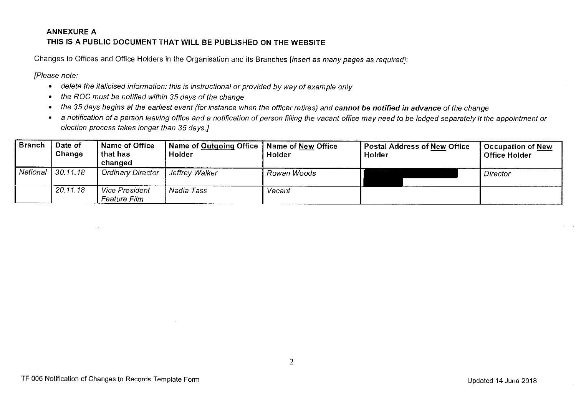# **ANNEXUREA THIS IS A PUBLIC DOCUMENT THAT WILL BE PUBLISHED ON THE WEBSITE**

Changes to Offices and Office Holders in the Organisation and its Branches [insert as many pages as required]:

[Please note:

- delete the italicised information: this is instructional or provided by way of example only
- the ROG must be notified within 35 days of the change
- the 35 days begins at the earliest event (for instance when the officer retires) and **cannot be notified in advance** of the change
- a notification of a person leaving office and a notification of person filling the vacant office may need to be lodged separately if the appointment or election process takes longer than 35 days.]

| <b>Branch</b> | Date of<br>Change | Name of Office<br>that has<br>changed | Name of Outgoing Office   Name of New Office  <br>Holder | Holder      | <b>Postal Address of New Office</b><br>Holder | <b>Occupation of New</b><br><b>Office Holder</b> |
|---------------|-------------------|---------------------------------------|----------------------------------------------------------|-------------|-----------------------------------------------|--------------------------------------------------|
| National      | 130.11.18         | Ordinary Director                     | , Jeffrey Walker                                         | Rowan Woods |                                               | Director                                         |
|               | 20.11.18          | <b>Vice President</b><br>Feature Film | Nadia Tass                                               | Vacant      |                                               |                                                  |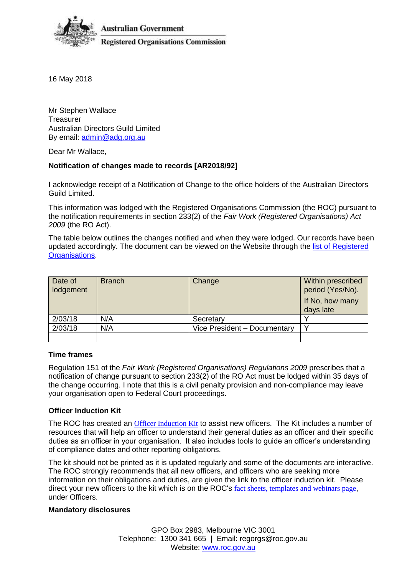

**Australian Government Registered Organisations Commission** 

16 May 2018

Mr Stephen Wallace **Treasurer** Australian Directors Guild Limited By email: [admin@adg.org.au](mailto:admin@adg.org.au)

Dear Mr Wallace,

### **Notification of changes made to records [AR2018/92]**

I acknowledge receipt of a Notification of Change to the office holders of the Australian Directors Guild Limited.

This information was lodged with the Registered Organisations Commission (the ROC) pursuant to the notification requirements in section 233(2) of the *Fair Work (Registered Organisations) Act 2009* (the RO Act).

The table below outlines the changes notified and when they were lodged. Our records have been updated accordingly. The document can be viewed on the Website through the [list of Registered](http://www.roc.gov.au/find-a-registered-organisation)  [Organisations.](http://www.roc.gov.au/find-a-registered-organisation)

| Date of<br>lodgement | <b>Branch</b> | Change                       | Within prescribed<br>period (Yes/No).<br>If No, how many<br>days late |
|----------------------|---------------|------------------------------|-----------------------------------------------------------------------|
| 2/03/18              | N/A           | Secretary                    |                                                                       |
| 2/03/18              | N/A           | Vice President - Documentary |                                                                       |
|                      |               |                              |                                                                       |

### **Time frames**

Regulation 151 of the *Fair Work (Registered Organisations) Regulations 2009* prescribes that a notification of change pursuant to section 233(2) of the RO Act must be lodged within 35 days of the change occurring. I note that this is a civil penalty provision and non-compliance may leave your organisation open to Federal Court proceedings.

### **Officer Induction Kit**

The ROC has created an [Officer Induction Kit](http://www.roc.gov.au/ArticleDocuments/429/gn006_officer_induction_kit.docx.aspx) to assist new officers. The Kit includes a number of resources that will help an officer to understand their general duties as an officer and their specific duties as an officer in your organisation. It also includes tools to guide an officer's understanding of compliance dates and other reporting obligations.

The kit should not be printed as it is updated regularly and some of the documents are interactive. The ROC strongly recommends that all new officers, and officers who are seeking more information on their obligations and duties, are given the link to the officer induction kit. Please direct your new officers to the kit which is on the ROC's [fact sheets, templates and webinars page](http://www.roc.gov.au/resources-and-decisions/fact-sheets-templates-and-webinars), under Officers.

#### **Mandatory disclosures**

GPO Box 2983, Melbourne VIC 3001 Telephone: 1300 341 665 **|** Email: regorgs@roc.gov.au Website: [www.roc.gov.au](http://www.roc.gov.au/)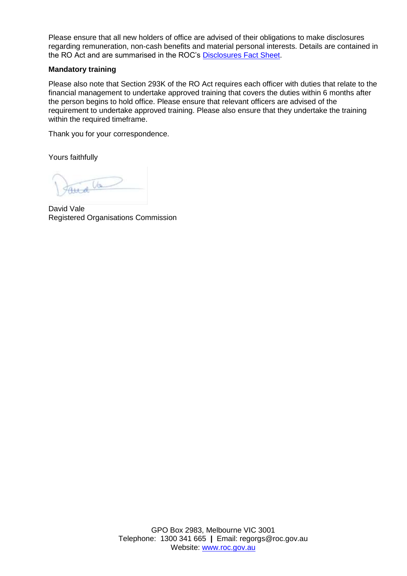Please ensure that all new holders of office are advised of their obligations to make disclosures regarding remuneration, non-cash benefits and material personal interests. Details are contained in the RO Act and are summarised in the ROC's [Disclosures Fact Sheet.](http://www.roc.gov.au/resources-and-decisions/fact-sheets-templates-and-webinars)

### **Mandatory training**

Please also note that Section 293K of the RO Act requires each officer with duties that relate to the financial management to undertake approved training that covers the duties within 6 months after the person begins to hold office. Please ensure that relevant officers are advised of the requirement to undertake approved training. Please also ensure that they undertake the training within the required timeframe.

Thank you for your correspondence.

Yours faithfully

 $u$ 

David Vale Registered Organisations Commission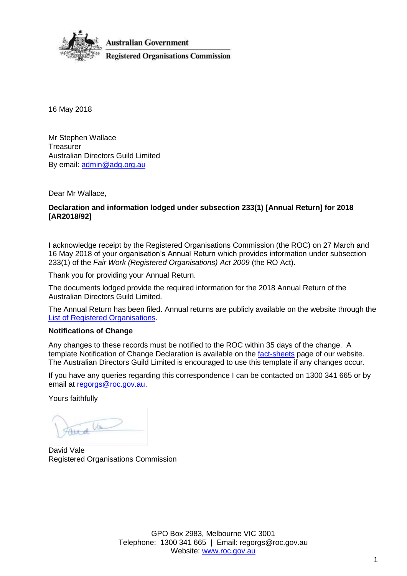

16 May 2018

Mr Stephen Wallace **Treasurer** Australian Directors Guild Limited By email: [admin@adg.org.au](mailto:admin@adg.org.au)

Dear Mr Wallace,

### **Declaration and information lodged under subsection 233(1) [Annual Return] for 2018 [AR2018/92]**

I acknowledge receipt by the Registered Organisations Commission (the ROC) on 27 March and 16 May 2018 of your organisation's Annual Return which provides information under subsection 233(1) of the *Fair Work (Registered Organisations) Act 2009* (the RO Act).

Thank you for providing your Annual Return.

The documents lodged provide the required information for the 2018 Annual Return of the Australian Directors Guild Limited.

The Annual Return has been filed. Annual returns are publicly available on the website through the [List of Registered Organisations.](http://www.roc.gov.au/find-a-registered-organisation)

### **Notifications of Change**

Any changes to these records must be notified to the ROC within 35 days of the change. A template Notification of Change Declaration is available on the [fact-sheets](http://www.roc.gov.au/resources-and-decisions/fact-sheets-templates-and-webinars) page of our website. The Australian Directors Guild Limited is encouraged to use this template if any changes occur.

If you have any queries regarding this correspondence I can be contacted on 1300 341 665 or by email at [regorgs@roc.gov.au.](mailto:regorgs@roc.gov.au)

Yours faithfully

 $\sqrt{a}$ 

David Vale Registered Organisations Commission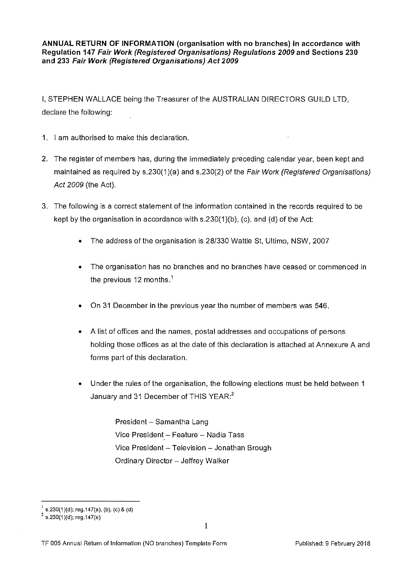**ANNUAL RETURN OF INFORMATION (organisation with no branches) in accordance with Regulation 147 Fair Work (Registered Organisations) Regulations 2009 and Sections 230 and 233 Fair Work (Registered Organisations) Act 2009** 

I, **STEPHEN** WALLACE being the Treasurer of the AUSTRALIAN DIRECTORS GUILD LTD, declare the following:

- **1.** I am authorised to make this declaration.
- 2. The register of members has, during the immediately preceding calendar year, been kept and maintained as required by s.230(1)(a) and s.230(2) of the Fair Work (Registered Organisations) Act 2009 (the Act).
- 3. The following is a correct statement of the information contained in the records required to be kept by the organisation in accordance with s.230(1)(b), (c), and (d) of the Act:
	- The address of the organisation is 28/330 Wattle St, Ultimo, NSW, 2007
	- The organisation has no branches and no branches have ceased or commenced in the previous 12 months.<sup>1</sup>
	- On 31 December **in** the previous year the number of members was 546.
	- A list of offices and the names, postal addresses and occupations of persons holding those offices as at the date of this declaration is attached at Annexure A and forms part of this declaration.
	- Under the rules of the organisation, the following elections must be held between **1**  January and 31 December of THIS YEAR:<sup>2</sup>

President - Samantha Lang Vice President - Feature - Nadia Tass Vice President - Television - Jonathan Brough Ordinary Director - Jeffrey Walker

 $^{1}$  s.230(1)(d); reg.147(a), (b), (c) & (d)

 $2$  s.230(1)(d); reg.147(e)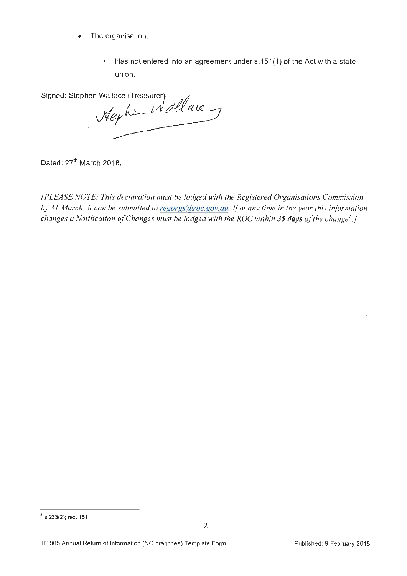- The organisation:
	- Has not entered into an agreement under s.151 ( 1) of the Act with a state union.

Signed: Stephen Wallace (Treasurer)  $\frac{1}{2}$ *J!ktiu--* <sup>0</sup>*tdr* Ci ,

Dated: 27<sup>th</sup> March 2018.

*[PLEASE NOTE: This declaration must be lodged with the Registered Organisations Commission*  by 31 March. It can be submitted to regorgs@roc.gov.au. If at any time in the year this information *changes a Notification of Changes must be lodged with the ROC within 35 days of the change<sup>3</sup>.]* 

 $3$  s.233(2); reg. 151

TF 005 Annual Return of Information (NO branches) Template Form Published: 9 February 2018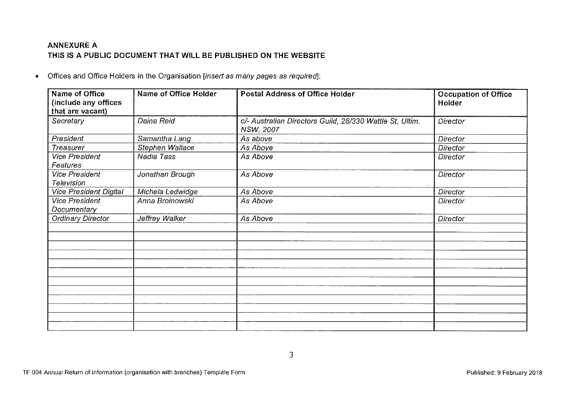## **ANNEXUREA THIS IS A PUBLIC DOCUMENT THAT WILL BE PUBLISHED ON THE WEBSITE**

• Offices and Office Holders in the Organisation [insert as many pages as requiredj:

| Name of Office<br>(include any offices<br>that are vacant) | Name of Office Holder | <b>Postal Address of Office Holder</b>                                       | <b>Occupation of Office</b><br>Holder |
|------------------------------------------------------------|-----------------------|------------------------------------------------------------------------------|---------------------------------------|
| Secretary                                                  | Daina Reid            | c/- Australian Directors Guild, 28/330 Wattle St, Ultim.<br><b>NSW. 2007</b> | <b>Director</b>                       |
| President                                                  | Samantha Lang         | As above                                                                     | <b>Director</b>                       |
| Treasurer                                                  | Stephen Wallace       | As Above                                                                     | Director                              |
| <b>Vice President</b><br>Features                          | Nadia Tass            | As Above                                                                     | Director                              |
| Vice President<br>Television                               | Jonathan Brough       | As Above                                                                     | Director                              |
| <b>Vice President Digital</b>                              | Michela Ledwidge      | As Above                                                                     | Director                              |
| <b>Vice President</b><br>Documentary                       | Anna Broinowski       | As Above                                                                     | Director                              |
| Ordinary Director                                          | Jeffrey Walker        | As Above                                                                     | Director                              |
|                                                            |                       |                                                                              |                                       |
|                                                            |                       |                                                                              |                                       |
|                                                            |                       |                                                                              |                                       |
|                                                            |                       |                                                                              |                                       |
|                                                            |                       |                                                                              |                                       |
|                                                            |                       |                                                                              |                                       |
|                                                            |                       |                                                                              |                                       |
|                                                            |                       |                                                                              |                                       |
|                                                            |                       |                                                                              |                                       |
|                                                            |                       |                                                                              |                                       |
|                                                            |                       |                                                                              |                                       |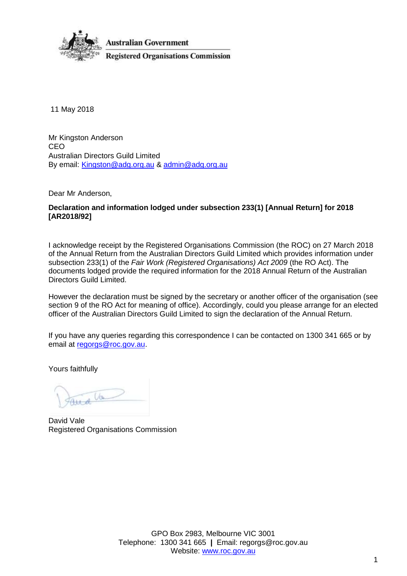

11 May 2018

Mr Kingston Anderson CEO Australian Directors Guild Limited By email: [Kingston@adg.org.au](mailto:Kingston@adg.org.au) & [admin@adg.org.au](mailto:admin@adg.org.au)

Dear Mr Anderson,

### **Declaration and information lodged under subsection 233(1) [Annual Return] for 2018 [AR2018/92]**

I acknowledge receipt by the Registered Organisations Commission (the ROC) on 27 March 2018 of the Annual Return from the Australian Directors Guild Limited which provides information under subsection 233(1) of the *Fair Work (Registered Organisations) Act 2009* (the RO Act). The documents lodged provide the required information for the 2018 Annual Return of the Australian Directors Guild Limited.

However the declaration must be signed by the secretary or another officer of the organisation (see section 9 of the RO Act for meaning of office). Accordingly, could you please arrange for an elected officer of the Australian Directors Guild Limited to sign the declaration of the Annual Return.

If you have any queries regarding this correspondence I can be contacted on 1300 341 665 or by email at [regorgs@roc.gov.au.](mailto:regorgs@roc.gov.au)

Yours faithfully

 $(1)$ 

David Vale Registered Organisations Commission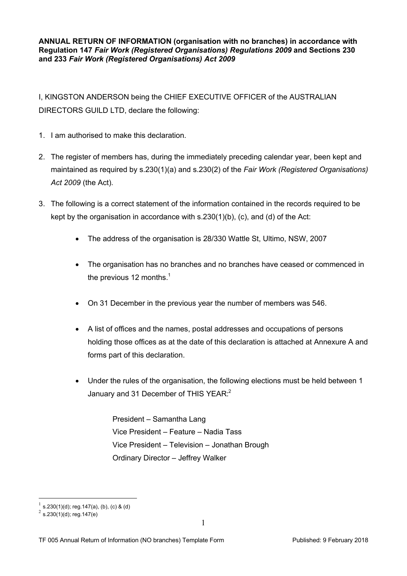**ANNUAL RETURN OF INFORMATION (organisation with no branches) in accordance with Regulation 147** *Fair Work (Registered Organisations) Regulations 2009* **and Sections 230 and 233** *Fair Work (Registered Organisations) Act 2009*

I, KINGSTON ANDERSON being the CHIEF EXECUTIVE OFFICER of the AUSTRALIAN DIRECTORS GUILD LTD, declare the following:

- 1. I am authorised to make this declaration.
- 2. The register of members has, during the immediately preceding calendar year, been kept and maintained as required by s.230(1)(a) and s.230(2) of the *Fair Work (Registered Organisations) Act 2009* (the Act).
- 3. The following is a correct statement of the information contained in the records required to be kept by the organisation in accordance with s.230(1)(b), (c), and (d) of the Act:
	- The address of the organisation is 28/330 Wattle St, Ultimo, NSW, 2007
	- The organisation has no branches and no branches have ceased or commenced in the previous [1](#page-11-0)2 months. $<sup>1</sup>$ </sup>
	- On 31 December in the previous year the number of members was 546.
	- A list of offices and the names, postal addresses and occupations of persons holding those offices as at the date of this declaration is attached at Annexure A and forms part of this declaration.
	- Under the rules of the organisation, the following elections must be held between 1 January and 31 December of THIS YEAR:<sup>[2](#page-11-1)</sup>

President – Samantha Lang Vice President – Feature – Nadia Tass Vice President – Television – Jonathan Brough Ordinary Director – Jeffrey Walker

<u>.</u>

<span id="page-11-0"></span><sup>1</sup> s.230(1)(d); reg.147(a), (b), (c) & (d)

<span id="page-11-1"></span> $^{2}$  s.230(1)(d); reg.147(e)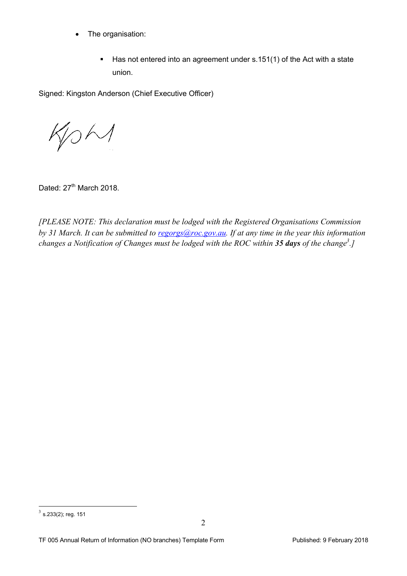- The organisation:
	- Has not entered into an agreement under s.151(1) of the Act with a state union.

Signed: Kingston Anderson (Chief Executive Officer)

KOM

Dated: 27<sup>th</sup> March 2018.

*[PLEASE NOTE: This declaration must be lodged with the Registered Organisations Commission by 31 March. It can be submitted to [regorgs@roc.gov.au.](mailto:regorgs@roc.gov.au) If at any time in the year this information changes a Notification of Changes must be lodged with the ROC within 35 days of the change[3](#page-12-0) .]*

<span id="page-12-0"></span> $\frac{3}{3}$  s.233(2); reg. 151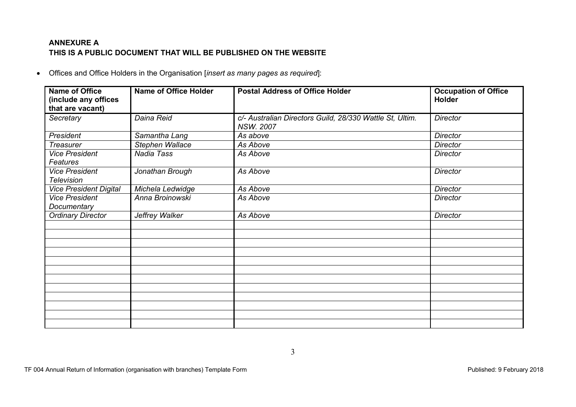# **ANNEXURE A THIS IS A PUBLIC DOCUMENT THAT WILL BE PUBLISHED ON THE WEBSITE**

Offices and Office Holders in the Organisation [*insert as many pages as required*]:

| Name of Office<br>(include any offices     | <b>Name of Office Holder</b> | <b>Postal Address of Office Holder</b>                                       | <b>Occupation of Office</b><br><b>Holder</b> |
|--------------------------------------------|------------------------------|------------------------------------------------------------------------------|----------------------------------------------|
| that are vacant)                           |                              |                                                                              |                                              |
| Secretary                                  | Daina Reid                   | c/- Australian Directors Guild, 28/330 Wattle St, Ultim.<br><b>NSW. 2007</b> | <b>Director</b>                              |
| President                                  | Samantha Lang                | As above                                                                     | <b>Director</b>                              |
| <b>Treasurer</b>                           | Stephen Wallace              | As Above                                                                     | <b>Director</b>                              |
| <b>Vice President</b><br>Features          | Nadia Tass                   | As Above                                                                     | <b>Director</b>                              |
| <b>Vice President</b><br><b>Television</b> | Jonathan Brough              | As Above                                                                     | <b>Director</b>                              |
| <b>Vice President Digital</b>              | Michela Ledwidge             | As Above                                                                     | <b>Director</b>                              |
| <b>Vice President</b><br>Documentary       | Anna Broinowski              | As Above                                                                     | <b>Director</b>                              |
| <b>Ordinary Director</b>                   | Jeffrey Walker               | As Above                                                                     | <b>Director</b>                              |
|                                            |                              |                                                                              |                                              |
|                                            |                              |                                                                              |                                              |
|                                            |                              |                                                                              |                                              |
|                                            |                              |                                                                              |                                              |
|                                            |                              |                                                                              |                                              |
|                                            |                              |                                                                              |                                              |
|                                            |                              |                                                                              |                                              |
|                                            |                              |                                                                              |                                              |
|                                            |                              |                                                                              |                                              |
|                                            |                              |                                                                              |                                              |
|                                            |                              |                                                                              |                                              |
|                                            |                              |                                                                              |                                              |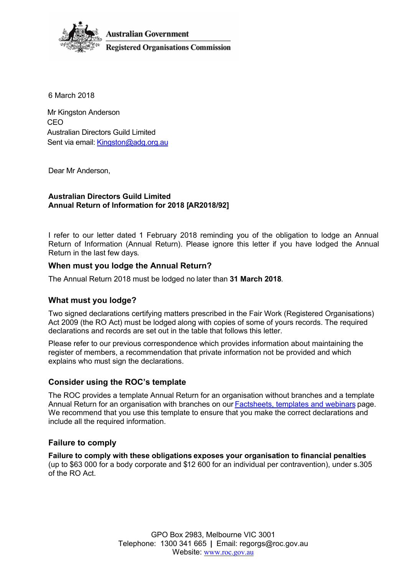**Australian Government** 



**Registered Organisations Commission** 

6 March 2018

Mr Kingston Anderson CEO Australian Directors Guild Limited Sent via email: [Kingston@adg.org.au](mailto:Kingston@adg.org.au)

Dear Mr Anderson,

### **Australian Directors Guild Limited Annual Return of Information for 2018 [AR2018/92]**

I refer to our letter dated 1 February 2018 reminding you of the obligation to lodge an Annual Return of Information (Annual Return). Please ignore this letter if you have lodged the Annual Return in the last few days.

## **When must you lodge the Annual Return?**

The Annual Return 2018 must be lodged no later than **31 March 2018**.

## **What must you lodge?**

Two signed declarations certifying matters prescribed in the Fair Work (Registered Organisations) Act 2009 (the RO Act) must be lodged along with copies of some of yours records. The required declarations and records are set out in the table that follows this letter.

Please refer to our previous correspondence which provides information about maintaining the register of members, a recommendation that private information not be provided and which explains who must sign the declarations.

## **Consider using the ROC's template**

The ROC provides a template Annual Return for an organisation without branches and a template Annual Return for an organisation with branches on our **Factsheets**, templates and webinars page. We recommend that you use this template to ensure that you make the correct declarations and include all the required information.

## **Failure to comply**

**Failure to comply with these obligations exposes your organisation to financial penalties** (up to \$63 000 for a body corporate and \$12 600 for an individual per contravention), under s.305 of the RO Act.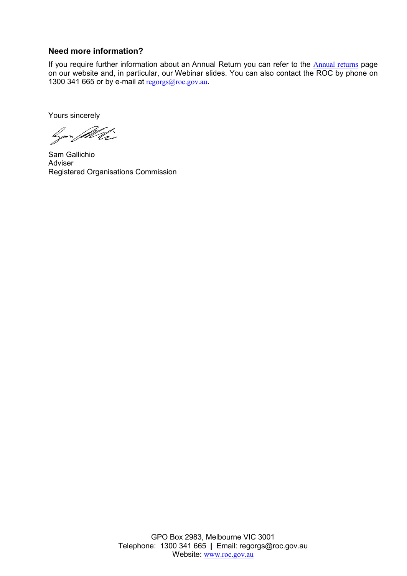## **Need more information?**

If you require further information about an Annual Return you can refer to the **[Annual returns](http://www.roc.gov.au/running-a-registered-organisation/annual-returns)** page on our website and, in particular, our Webinar slides. You can also contact the ROC by phone on 1300 341 665 or by e-mail at [regorgs@roc.gov.au](mailto:regorgs@roc.gov.au).

Yours sincerely

Gen Willis

Sam Gallichio Adviser Registered Organisations Commission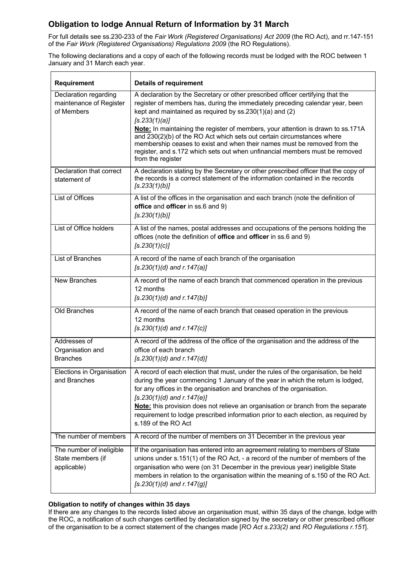# **Obligation to lodge Annual Return of Information by 31 March**

For full details see ss.230-233 of the *Fair Work (Registered Organisations) Act 2009* (the RO Act), and rr.147-151 of the *Fair Work (Registered Organisations) Regulations 2009* (the RO Regulations).

The following declarations and a copy of each of the following records must be lodged with the ROC between 1 January and 31 March each year.

| <b>Requirement</b>                                             | <b>Details of requirement</b>                                                                                                                                                                                                                                                                                                                                                                                                                                                                                                                                                             |
|----------------------------------------------------------------|-------------------------------------------------------------------------------------------------------------------------------------------------------------------------------------------------------------------------------------------------------------------------------------------------------------------------------------------------------------------------------------------------------------------------------------------------------------------------------------------------------------------------------------------------------------------------------------------|
| Declaration regarding<br>maintenance of Register<br>of Members | A declaration by the Secretary or other prescribed officer certifying that the<br>register of members has, during the immediately preceding calendar year, been<br>kept and maintained as required by ss.230(1)(a) and (2)<br>[s.233(1)(a)]<br>Note: In maintaining the register of members, your attention is drawn to ss.171A<br>and 230(2)(b) of the RO Act which sets out certain circumstances where<br>membership ceases to exist and when their names must be removed from the<br>register, and s.172 which sets out when unfinancial members must be removed<br>from the register |
| Declaration that correct<br>statement of                       | A declaration stating by the Secretary or other prescribed officer that the copy of<br>the records is a correct statement of the information contained in the records<br>[s.233(1)(b)]                                                                                                                                                                                                                                                                                                                                                                                                    |
| List of Offices                                                | A list of the offices in the organisation and each branch (note the definition of<br>office and officer in ss.6 and 9)<br>[s.230(1)(b)]                                                                                                                                                                                                                                                                                                                                                                                                                                                   |
| List of Office holders                                         | A list of the names, postal addresses and occupations of the persons holding the<br>offices (note the definition of <b>office</b> and <b>officer</b> in ss.6 and 9)<br>[s.230(1)(c)]                                                                                                                                                                                                                                                                                                                                                                                                      |
| <b>List of Branches</b>                                        | A record of the name of each branch of the organisation<br>$[s.230(1)(d)$ and $r.147(a)]$                                                                                                                                                                                                                                                                                                                                                                                                                                                                                                 |
| <b>New Branches</b>                                            | A record of the name of each branch that commenced operation in the previous<br>12 months<br>$[s.230(1)(d)$ and $r.147(b)$ ]                                                                                                                                                                                                                                                                                                                                                                                                                                                              |
| Old Branches                                                   | A record of the name of each branch that ceased operation in the previous<br>12 months<br>$[s.230(1)(d)$ and $r.147(c)$ ]                                                                                                                                                                                                                                                                                                                                                                                                                                                                 |
| Addresses of<br>Organisation and<br><b>Branches</b>            | A record of the address of the office of the organisation and the address of the<br>office of each branch<br>$[s.230(1)(d)$ and $r.147(d)]$                                                                                                                                                                                                                                                                                                                                                                                                                                               |
| Elections in Organisation<br>and Branches                      | A record of each election that must, under the rules of the organisation, be held<br>during the year commencing 1 January of the year in which the return is lodged,<br>for any offices in the organisation and branches of the organisation.<br>$[s.230(1)(d)$ and $r.147(e)$ ]<br>Note: this provision does not relieve an organisation or branch from the separate<br>requirement to lodge prescribed information prior to each election, as required by<br>s.189 of the RO Act                                                                                                        |
| The number of members                                          | A record of the number of members on 31 December in the previous year                                                                                                                                                                                                                                                                                                                                                                                                                                                                                                                     |
| The number of ineligible<br>State members (if<br>applicable)   | If the organisation has entered into an agreement relating to members of State<br>unions under s.151(1) of the RO Act, - a record of the number of members of the<br>organisation who were (on 31 December in the previous year) ineligible State<br>members in relation to the organisation within the meaning of s.150 of the RO Act.<br>$[s.230(1)(d)$ and $r.147(g)]$                                                                                                                                                                                                                 |

### **Obligation to notify of changes within 35 days**

If there are any changes to the records listed above an organisation must, within 35 days of the change, lodge with the ROC, a notification of such changes certified by declaration signed by the secretary or other prescribed officer of the organisation to be a correct statement of the changes made [*RO Act s.233(2)* and *RO Regulations r.151*].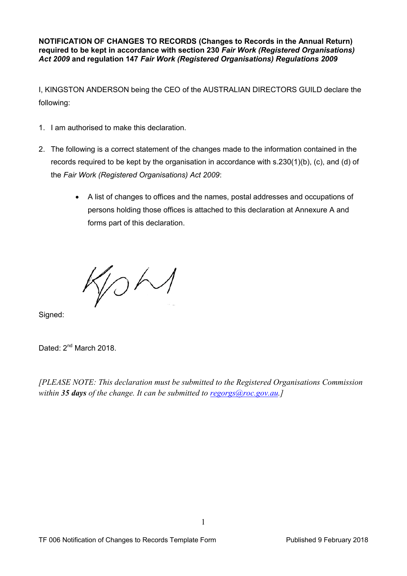**NOTIFICATION OF CHANGES TO RECORDS (Changes to Records in the Annual Return) required to be kept in accordance with section 230** *Fair Work (Registered Organisations) Act 2009* **and regulation 147** *Fair Work (Registered Organisations) Regulations 2009*

I, KINGSTON ANDERSON being the CEO of the AUSTRALIAN DIRECTORS GUILD declare the following:

- 1. I am authorised to make this declaration.
- 2. The following is a correct statement of the changes made to the information contained in the records required to be kept by the organisation in accordance with s.230(1)(b), (c), and (d) of the *Fair Work (Registered Organisations) Act 2009*:
	- A list of changes to offices and the names, postal addresses and occupations of persons holding those offices is attached to this declaration at Annexure A and forms part of this declaration.

 $O<sub>1</sub>$ 

Signed:

Dated: 2<sup>nd</sup> March 2018.

*[PLEASE NOTE: This declaration must be submitted to the Registered Organisations Commission within 35 days of the change. It can be submitted to [regorgs@roc.gov.au.](mailto:regorgs@roc.gov.au)]*